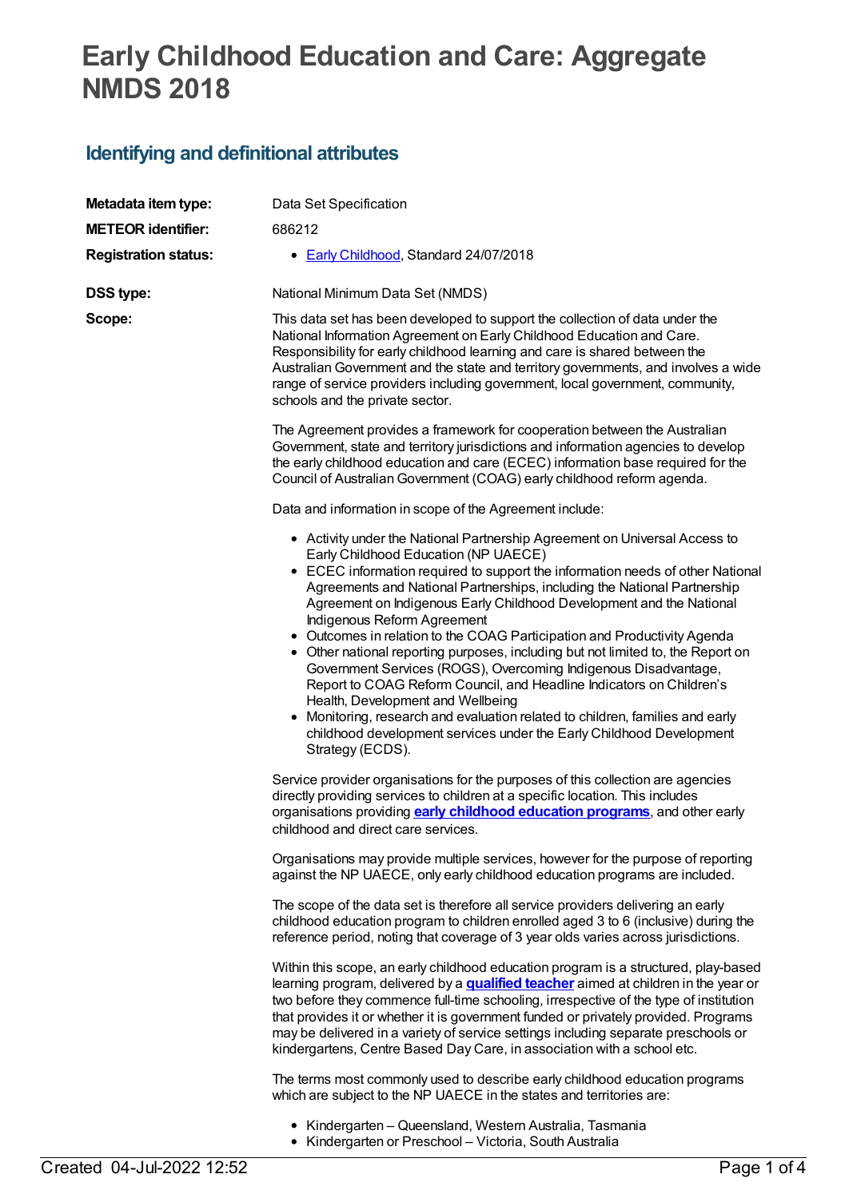# **Early Childhood Education and Care: Aggregate NMDS 2018**

## **Identifying and definitional attributes**

| Metadata item type:         | Data Set Specification                                                                                                                                                                                                                                                                                                                                                                                                                                                                                                                                                                                                                                                                                                                                                                                                                                                                                               |
|-----------------------------|----------------------------------------------------------------------------------------------------------------------------------------------------------------------------------------------------------------------------------------------------------------------------------------------------------------------------------------------------------------------------------------------------------------------------------------------------------------------------------------------------------------------------------------------------------------------------------------------------------------------------------------------------------------------------------------------------------------------------------------------------------------------------------------------------------------------------------------------------------------------------------------------------------------------|
| <b>METEOR identifier:</b>   | 686212                                                                                                                                                                                                                                                                                                                                                                                                                                                                                                                                                                                                                                                                                                                                                                                                                                                                                                               |
| <b>Registration status:</b> | • Early Childhood, Standard 24/07/2018                                                                                                                                                                                                                                                                                                                                                                                                                                                                                                                                                                                                                                                                                                                                                                                                                                                                               |
| <b>DSS type:</b>            | National Minimum Data Set (NMDS)                                                                                                                                                                                                                                                                                                                                                                                                                                                                                                                                                                                                                                                                                                                                                                                                                                                                                     |
| Scope:                      | This data set has been developed to support the collection of data under the<br>National Information Agreement on Early Childhood Education and Care.<br>Responsibility for early childhood learning and care is shared between the<br>Australian Government and the state and territory governments, and involves a wide<br>range of service providers including government, local government, community,<br>schools and the private sector.                                                                                                                                                                                                                                                                                                                                                                                                                                                                        |
|                             | The Agreement provides a framework for cooperation between the Australian<br>Government, state and territory jurisdictions and information agencies to develop<br>the early childhood education and care (ECEC) information base required for the<br>Council of Australian Government (COAG) early childhood reform agenda.                                                                                                                                                                                                                                                                                                                                                                                                                                                                                                                                                                                          |
|                             | Data and information in scope of the Agreement include:                                                                                                                                                                                                                                                                                                                                                                                                                                                                                                                                                                                                                                                                                                                                                                                                                                                              |
|                             | • Activity under the National Partnership Agreement on Universal Access to<br>Early Childhood Education (NP UAECE)<br>• ECEC information required to support the information needs of other National<br>Agreements and National Partnerships, including the National Partnership<br>Agreement on Indigenous Early Childhood Development and the National<br>Indigenous Reform Agreement<br>• Outcomes in relation to the COAG Participation and Productivity Agenda<br>• Other national reporting purposes, including but not limited to, the Report on<br>Government Services (ROGS), Overcoming Indigenous Disadvantage,<br>Report to COAG Reform Council, and Headline Indicators on Children's<br>Health, Development and Wellbeing<br>• Monitoring, research and evaluation related to children, families and early<br>childhood development services under the Early Childhood Development<br>Strategy (ECDS). |
|                             | Service provider organisations for the purposes of this collection are agencies<br>directly providing services to children at a specific location. This includes<br>organisations providing early childhood education programs, and other early<br>childhood and direct care services.                                                                                                                                                                                                                                                                                                                                                                                                                                                                                                                                                                                                                               |
|                             | Organisations may provide multiple services, however for the purpose of reporting<br>against the NP UAECE, only early childhood education programs are included.                                                                                                                                                                                                                                                                                                                                                                                                                                                                                                                                                                                                                                                                                                                                                     |
|                             | The scope of the data set is therefore all service providers delivering an early<br>childhood education program to children enrolled aged 3 to 6 (inclusive) during the<br>reference period, noting that coverage of 3 year olds varies across jurisdictions.                                                                                                                                                                                                                                                                                                                                                                                                                                                                                                                                                                                                                                                        |
|                             | Within this scope, an early childhood education program is a structured, play-based<br>learning program, delivered by a <b>qualified teacher</b> aimed at children in the year or<br>two before they commence full-time schooling, irrespective of the type of institution<br>that provides it or whether it is government funded or privately provided. Programs<br>may be delivered in a variety of service settings including separate preschools or<br>kindergartens, Centre Based Day Care, in association with a school etc.                                                                                                                                                                                                                                                                                                                                                                                   |
|                             | The terms most commonly used to describe early childhood education programs<br>which are subject to the NP UAECE in the states and territories are:                                                                                                                                                                                                                                                                                                                                                                                                                                                                                                                                                                                                                                                                                                                                                                  |
|                             | • Kindergarten – Queensland, Western Australia, Tasmania<br>• Kindergarten or Preschool - Victoria, South Australia                                                                                                                                                                                                                                                                                                                                                                                                                                                                                                                                                                                                                                                                                                                                                                                                  |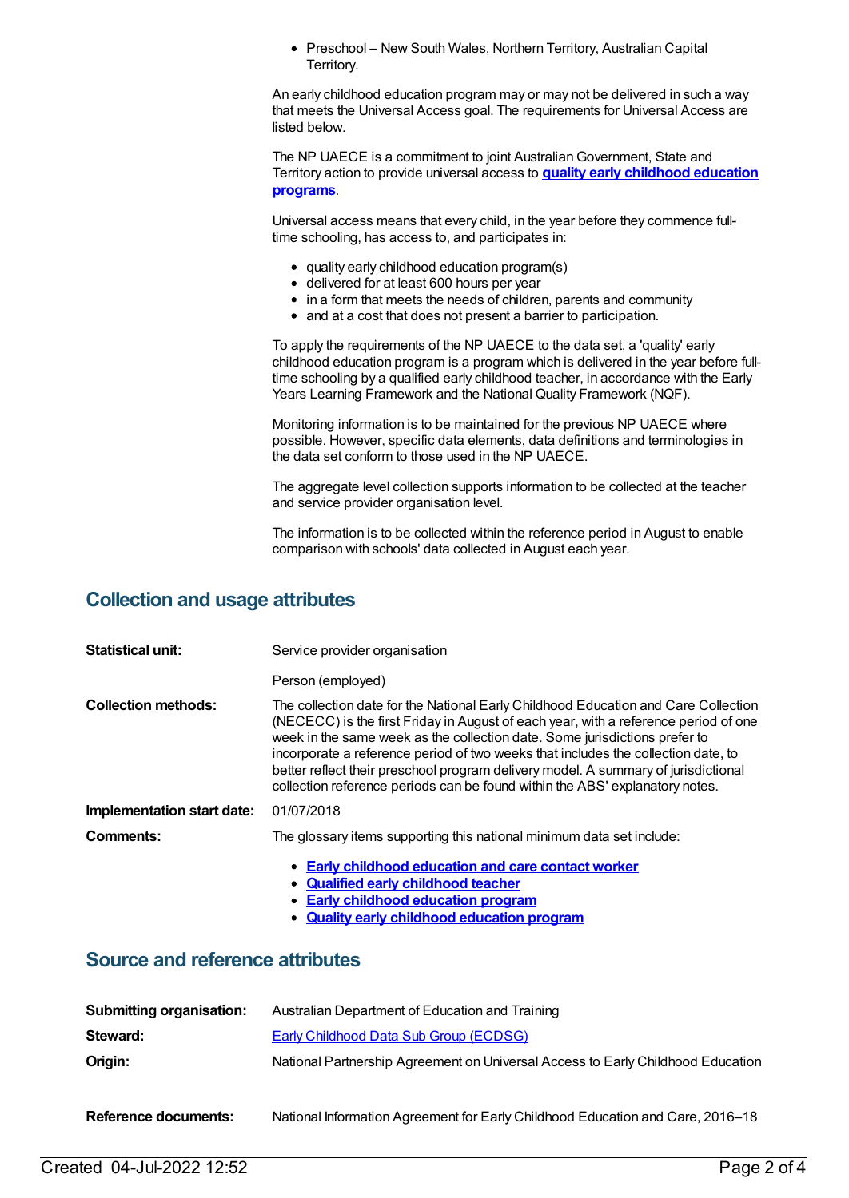• Preschool – New South Wales, Northern Territory, Australian Capital Territory.

An early childhood education program may or may not be delivered in such a way that meets the Universal Access goal. The requirements for Universal Access are listed below.

The NP UAECE is a commitment to joint Australian Government, State and Territory action to provide universal access to **quality early [childhood](https://meteor.aihw.gov.au/content/606533) education programs**.

Universal access means that every child, in the year before they commence fulltime schooling, has access to, and participates in:

- quality early childhood education program(s)
- delivered for at least 600 hours per year
- in a form that meets the needs of children, parents and community
- and at a cost that does not present a barrier to participation.

To apply the requirements of the NP UAECE to the data set, a 'quality' early childhood education program is a program which is delivered in the year before fulltime schooling by a qualified early childhood teacher, in accordance with the Early Years Learning Framework and the National Quality Framework (NQF).

Monitoring information is to be maintained for the previous NP UAECE where possible. However, specific data elements, data definitions and terminologies in the data set conform to those used in the NP UAECE.

The aggregate level collection supports information to be collected at the teacher and service provider organisation level.

The information is to be collected within the reference period in August to enable comparison with schools' data collected in August each year.

#### **Collection and usage attributes**

| <b>Statistical unit:</b>   | Service provider organisation                                                                                                                                                                                                                                                                                                                                                                                                                                                                                      |
|----------------------------|--------------------------------------------------------------------------------------------------------------------------------------------------------------------------------------------------------------------------------------------------------------------------------------------------------------------------------------------------------------------------------------------------------------------------------------------------------------------------------------------------------------------|
|                            | Person (employed)                                                                                                                                                                                                                                                                                                                                                                                                                                                                                                  |
| <b>Collection methods:</b> | The collection date for the National Early Childhood Education and Care Collection<br>(NECECC) is the first Friday in August of each year, with a reference period of one<br>week in the same week as the collection date. Some jurisdictions prefer to<br>incorporate a reference period of two weeks that includes the collection date, to<br>better reflect their preschool program delivery model. A summary of jurisdictional<br>collection reference periods can be found within the ABS' explanatory notes. |
| Implementation start date: | 01/07/2018                                                                                                                                                                                                                                                                                                                                                                                                                                                                                                         |
| Comments:                  | The glossary items supporting this national minimum data set include:                                                                                                                                                                                                                                                                                                                                                                                                                                              |
|                            | • Early childhood education and care contact worker<br>. Ouelified early childhood teacher                                                                                                                                                                                                                                                                                                                                                                                                                         |

- **Qualified early [childhood](https://meteor.aihw.gov.au/content/602296) teacher**
- **Early [childhood](https://meteor.aihw.gov.au/content/602292) education program**  $\bullet$
- **Quality early [childhood](https://meteor.aihw.gov.au/content/606533) education program**

#### **Source and reference attributes**

| <b>Submitting organisation:</b> | Australian Department of Education and Training                                 |
|---------------------------------|---------------------------------------------------------------------------------|
| Steward:                        | <b>Early Childhood Data Sub Group (ECDSG)</b>                                   |
| Origin:                         | National Partnership Agreement on Universal Access to Early Childhood Education |
| <b>Reference documents:</b>     | National Information Agreement for Early Childhood Education and Care, 2016–18  |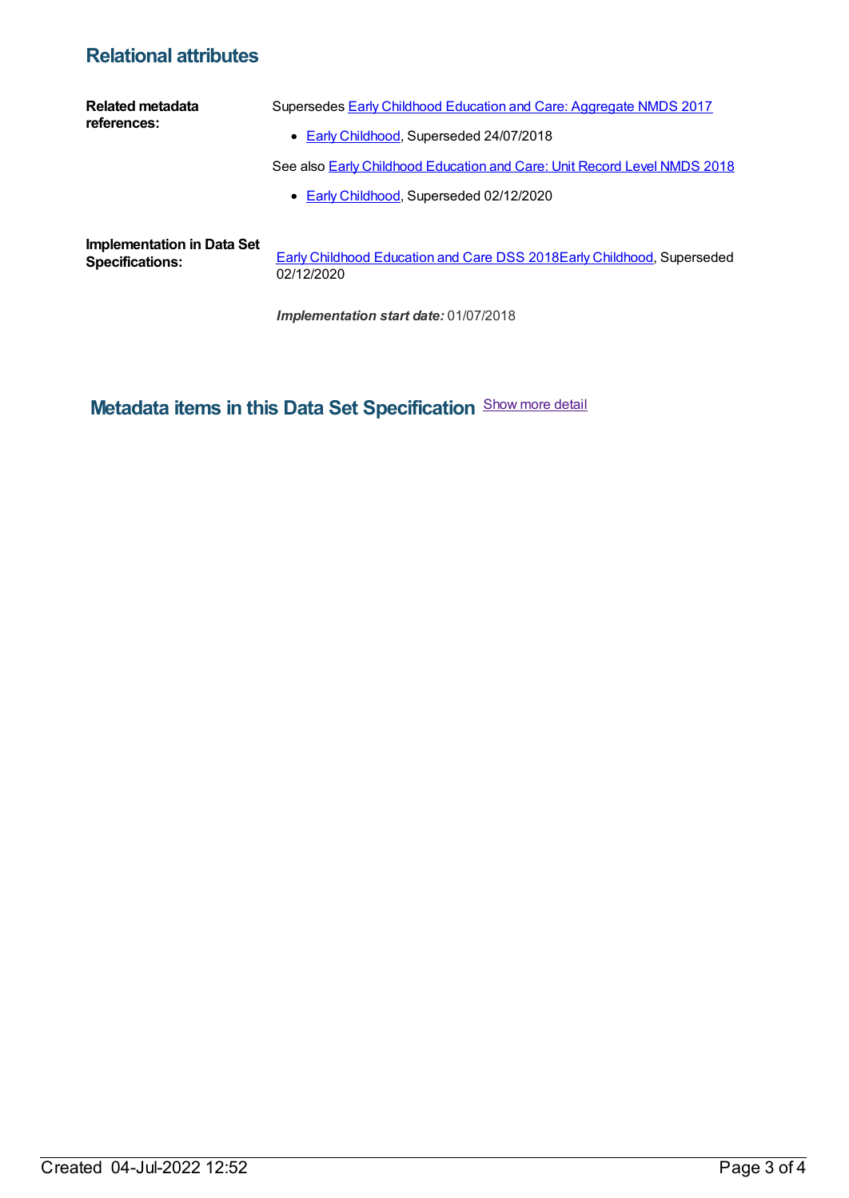### **Relational attributes**

| Related metadata<br>references:                             | Supersedes <b>Early Childhood Education and Care: Aggregate NMDS 2017</b>       |
|-------------------------------------------------------------|---------------------------------------------------------------------------------|
|                                                             | • Early Childhood, Superseded 24/07/2018                                        |
|                                                             | See also <b>Early Childhood Education and Care: Unit Record Level NMDS 2018</b> |
|                                                             | • Early Childhood, Superseded 02/12/2020                                        |
|                                                             |                                                                                 |
| <b>Implementation in Data Set</b><br><b>Specifications:</b> | Early Childhood Education and Care DSS 2018Early Childhood, Superseded          |

**Specifications:** Early Childhood [Education](https://meteor.aihw.gov.au/content/686186) and Care DSS 2018Early [Childhood](https://meteor.aihw.gov.au/RegistrationAuthority/13), Superseded 02/12/2020

*Implementation start date:* 01/07/2018

## **Metadata items in this Data Set Specification** Show more detail